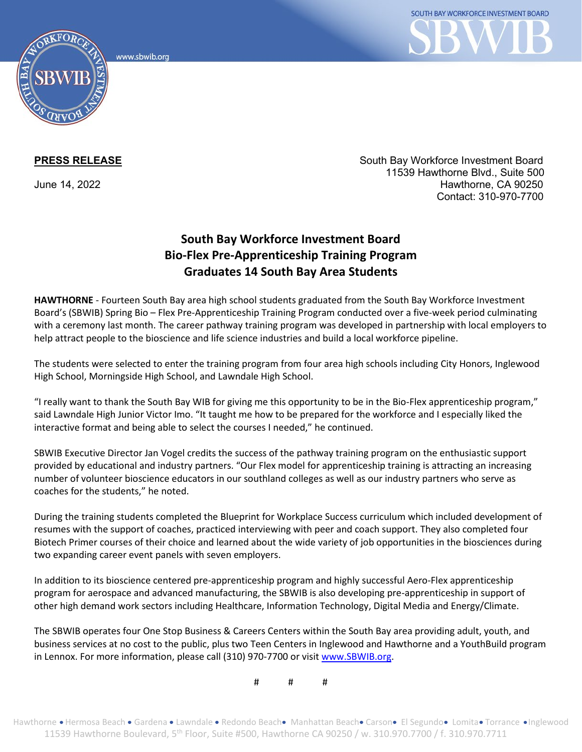www.sbwib.ord



**PRESS RELEASE South Bay Workforce Investment Board South Bay Workforce Investment Board**  11539 Hawthorne Blvd., Suite 500 June 14, 2022 Hawthorne, CA 90250 Contact: 310-970-7700

## **South Bay Workforce Investment Board Bio-Flex Pre-Apprenticeship Training Program Graduates 14 South Bay Area Students**

**HAWTHORNE** - Fourteen South Bay area high school students graduated from the South Bay Workforce Investment Board's (SBWIB) Spring Bio – Flex Pre-Apprenticeship Training Program conducted over a five-week period culminating with a ceremony last month. The career pathway training program was developed in partnership with local employers to help attract people to the bioscience and life science industries and build a local workforce pipeline.

The students were selected to enter the training program from four area high schools including City Honors, Inglewood High School, Morningside High School, and Lawndale High School.

"I really want to thank the South Bay WIB for giving me this opportunity to be in the Bio-Flex apprenticeship program," said Lawndale High Junior Victor Imo. "It taught me how to be prepared for the workforce and I especially liked the interactive format and being able to select the courses I needed," he continued.

SBWIB Executive Director Jan Vogel credits the success of the pathway training program on the enthusiastic support provided by educational and industry partners. "Our Flex model for apprenticeship training is attracting an increasing number of volunteer bioscience educators in our southland colleges as well as our industry partners who serve as coaches for the students," he noted.

During the training students completed the Blueprint for Workplace Success curriculum which included development of resumes with the support of coaches, practiced interviewing with peer and coach support. They also completed four Biotech Primer courses of their choice and learned about the wide variety of job opportunities in the biosciences during two expanding career event panels with seven employers.

In addition to its bioscience centered pre-apprenticeship program and highly successful Aero-Flex apprenticeship program for aerospace and advanced manufacturing, the SBWIB is also developing pre-apprenticeship in support of other high demand work sectors including Healthcare, Information Technology, Digital Media and Energy/Climate.

The SBWIB operates four One Stop Business & Careers Centers within the South Bay area providing adult, youth, and business services at no cost to the public, plus two Teen Centers in Inglewood and Hawthorne and a YouthBuild program in Lennox. For more information, please call (310) 970-7700 or visit [www.SBWIB.org.](http://www.sbwib.org/)

# # #